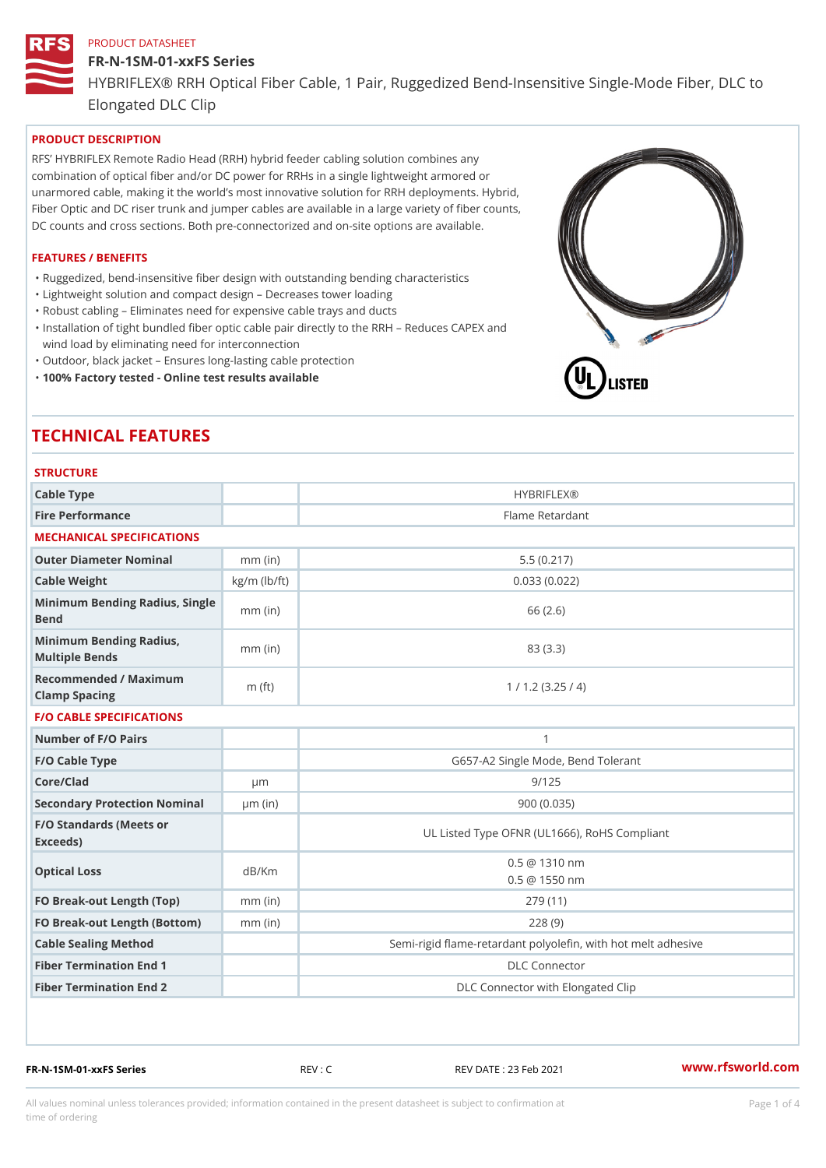## FR-N-1SM-01-xxFS Series HYBRIFLEX® RRH Optical Fiber Cable, 1 Pair, Ruggedized Bend-Insens Elongated DLC Clip

## PRODUCT DESCRIPTION

RFS HYBRIFLEX Remote Radio Head (RRH) hybrid feeder cabling solution combines any combination of optical fiber and/or DC power for RRHs in a single lightweight armored or unarmored cable, making it the world s most innovative solution for RRH deployments. Hybrid, Fiber Optic and DC riser trunk and jumper cables are available in a large variety of fiber counts, DC counts and cross sections. Both pre-connectorized and on-site options are available.

#### FEATURES / BENEFITS

- "Ruggedized, bend-insensitive fiber design with outstanding bending characteristics
- "Lightweight solution and compact design Decreases tower loading
- "Robust cabling Eliminates need for expensive cable trays and ducts
- "Installation of tight bundled fiber optic cable pair directly to the RRH Aeduces CAPEX and wind load by eliminating need for interconnection
- "Outdoor, black jacket Ensures long-lasting cable protection
- "100% Factory tested Online test results available

# TECHNICAL FEATURES

|  | <b>STRUCTURE</b> |  |  |  |
|--|------------------|--|--|--|
|--|------------------|--|--|--|

| 3 1 N U U I U N L                                 |                    |                                                          |
|---------------------------------------------------|--------------------|----------------------------------------------------------|
| Cable Type                                        |                    | <b>HYBRIFLEX®</b>                                        |
| Fire Performance                                  |                    | Flame Retardant                                          |
| MECHANICAL SPECIFICATIONS                         |                    |                                                          |
| Outer Diameter Nominal                            | $mm$ (in)          | 5.5(0.217)                                               |
| Cable Weight                                      | $kg/m$ ( $lb/ft$ ) | 0.033(0.022)                                             |
| Minimum Bending Radius, Single<br>Bend            |                    | 66 (2.6)                                                 |
| Minimum Bending Radius, mm (in)<br>Multiple Bends |                    | 83 (3.3)                                                 |
| Recommended / Maximum<br>Clamp Spacing            | $m$ (ft)           | 1 / 1.2 (3.25 / 4)                                       |
| <b>F/O CABLE SPECIFICATIONS</b>                   |                    |                                                          |
| Number of F/O Pairs                               |                    | $\mathbf{1}$                                             |
| F/O Cable Type                                    |                    | G657-A2 Single Mode, Bend Tolerant                       |
| Core/Clad                                         | $\mu$ m            | 9/125                                                    |
| Secondary Protection Nomimal(in)                  |                    | 900(0.035)                                               |
| F/O Standards (Meets or<br>Exceeds)               |                    | UL Listed Type OFNR (UL1666), RoHS Compliant             |
| Optical Loss                                      | dB/Km              | $0.5 \t@ 1310 nm$<br>$0.5 \t@ 1550 nm$                   |
| FO Break-out Length (Top)mm (in)                  |                    | 279 (11)                                                 |
| FO Break-out Length (Bottomm) (in)                |                    | 228(9)                                                   |
| Cable Sealing Method                              |                    | Semi-rigid flame-retardant polyolefin, with hot melt adl |
| Fiber Termination End                             |                    | <b>DLC</b> Connector                                     |
| Fiber Termination End 2                           |                    | DLC Connector with Elongated Clip                        |

FR-N-1SM-01-xxFS Series REV : C REV DATE : 23 Feb 2021 [www.](https://www.rfsworld.com)rfsworld.com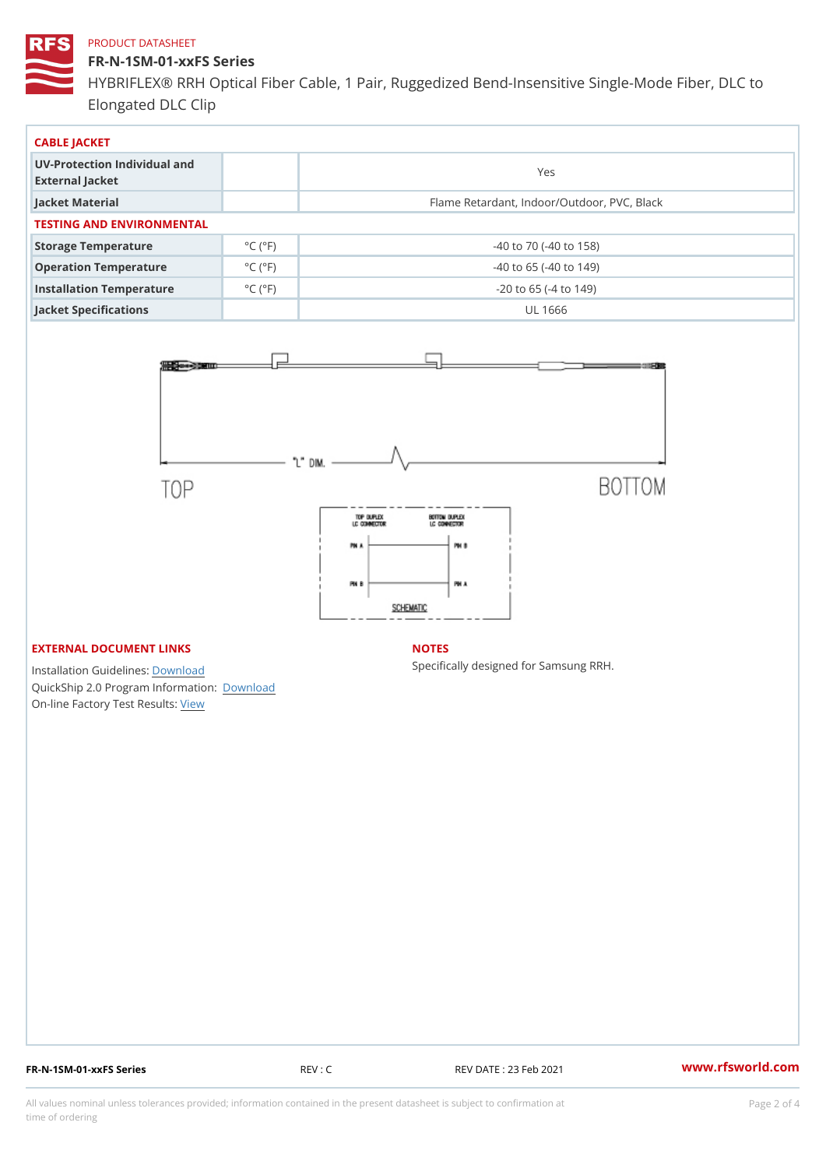FR-N-1SM-01-xxFS Series HYBRIFLEX® RRH Optical Fiber Cable, 1 Pair, Ruggedized Bend-Insens Elongated DLC Clip

| CABLE JACKET                                    |                              |                                             |
|-------------------------------------------------|------------------------------|---------------------------------------------|
| UV-Protection Individual and<br>External Jacket |                              | Yes                                         |
| Jacket Material                                 |                              | Flame Retardant, Indoor/Outdoor, PVC, Black |
| TESTING AND ENVIRONMENTAL                       |                              |                                             |
| Storage Temperature                             | $^{\circ}$ C ( $^{\circ}$ F) | $-40$ to $70$ ( $-40$ to $158$ )            |
| Operation Temperature                           | $^{\circ}$ C ( $^{\circ}$ F  | $-40$ to 65 ( $-40$ to 149)                 |
| Installation Temperature                        | $^{\circ}$ C ( $^{\circ}$ F  | $-20$ to 65 ( $-4$ to 149)                  |
| Jacket Specifications                           |                              | UL 1666                                     |

## EXTERNAL DOCUMENT LINKS

Installation Guidelwinessad QuickShip 2.0 Program [Informa](http://www.rfsworld.com/images/hybriflex/quickship_program_2.pdf)tion: On-line Factory Te[s](https://www.rfsworld.com/pictures/userfiles/programs/AAST Latest Version.zip)teResults:

#### NOTES

Specifically designed for Samsung RRH.

FR-N-1SM-01-xxFS Series REV : C REV DATE : 23 Feb 2021 [www.](https://www.rfsworld.com)rfsworld.com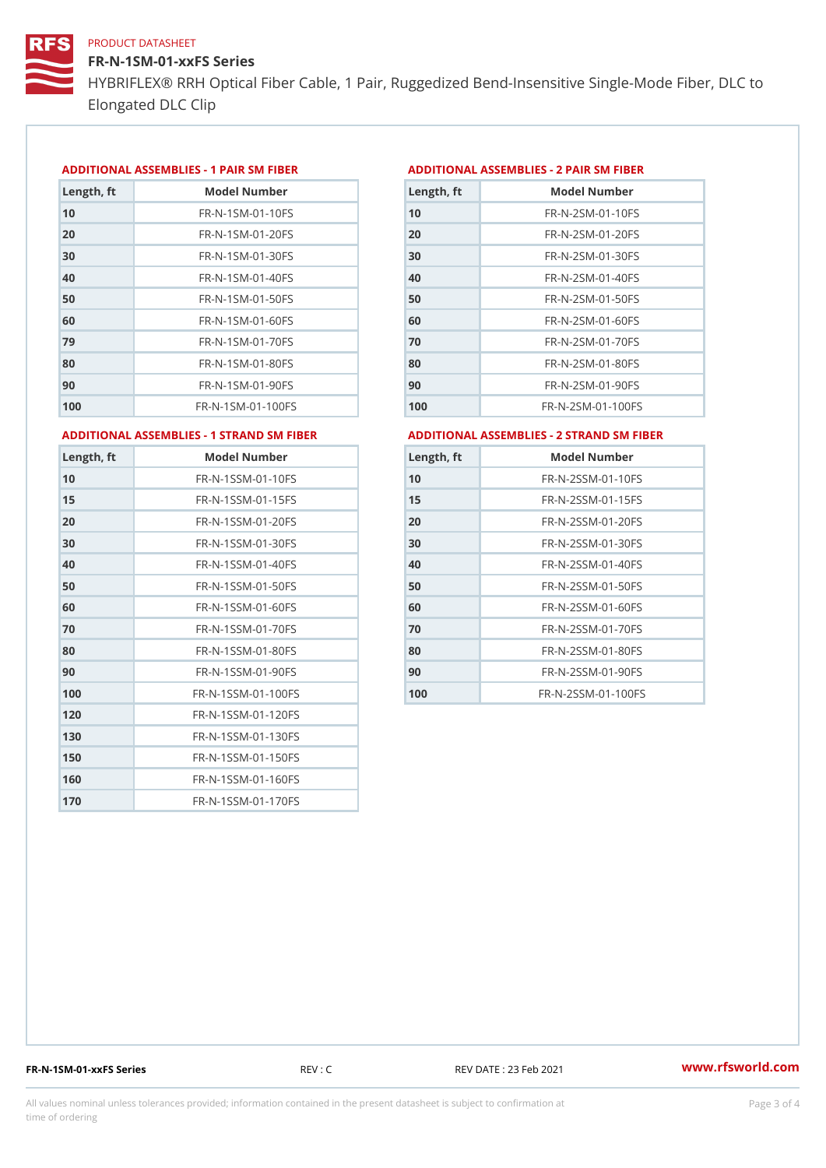FR-N-1SM-01-xxFS Series HYBRIFLEX® RRH Optical Fiber Cable, 1 Pair, Ruggedized Bend-Insens Elongated DLC Clip

## ADDITIONAL ASSEMBLIES - 1 PAIR SM FIBERED DITIONAL ASSEMBLIES - 2 PAIR SM FIBER

| Length, ft | Model Number                  |
|------------|-------------------------------|
| 10         | FR-N-1SM-01-10FS              |
| 20         | $FR - N - 1$ SM - 01 - 20 F S |
| 30         | FR-N-1SM-01-30FS              |
| 40         | $FR - N - 1$ SM - 01 - 40 F S |
| 50         | FR-N-1SM-01-50FS              |
| 60         | $FR - N - 1$ SM - 01 - 60 F S |
| 79         | FR-N-1SM-01-70FS              |
| 80         | FR-N-1SM-01-80FS              |
| 90         | FR-N-1SM-01-90FS              |
| 100        | FR-N-1SM-01-100FS             |

| Length, ft | Model Number                   |
|------------|--------------------------------|
| 10         | FR-N-2SM-01-10FS               |
| 20         | $FR - N - 2 S M - 01 - 20 F S$ |
| 30         | FR-N-2SM-01-30FS               |
| 40         | $FR - N - 2 SM - 01 - 40 FS$   |
| 50         | FR-N-2SM-01-50FS               |
| 60         | $FR - N - 2 S M - 01 - 60 F S$ |
| 70         | $FR - N - 2 S M - 01 - 70 F S$ |
| 80         | $FR - N - 2SM - 01 - 80FS$     |
| 90         | $FR - N - 2 S M - 01 - 90 F S$ |
| 100        | $FR - N - 2SM - 01 - 100FS$    |
|            |                                |

ADDITIONAL ASSEMBLIES - 1 STRAND SM FABSDRTIONAL ASSEMBLIES - 2 STRAND SM FIBER

| Length, ft | Model Number                     |
|------------|----------------------------------|
| 10         | FR-N-1SSM-01-10FS                |
| 15         | FR-N-1SSM-01-15FS                |
| 20         | FR-N-1SSM-01-20FS                |
| 30         | FR-N-1SSM-01-30FS                |
| 40         | FR-N-1SSM-01-40FS                |
| 50         | $FR - N - 1$ S S M - 01 - 50 F S |
| 60         | FR-N-1SSM-01-60FS                |
| 70         | FR-N-1SSM-01-70FS                |
| 80         | FR-N-1SSM-01-80FS                |
| 90         | $FR - N - 1$ S S M - 01 - 90 F S |
| 100        | FR-N-1SSM-01-100FS               |
| 120        | FR-N-1SSM-01-120FS               |
| 130        | FR-N-1SSM-01-130FS               |
| 150        | FR-N-1SSM-01-150FS               |
| 160        | FR-N-1SSM-01-160FS               |
| 170        | FR-N-1SSM-01-170FS               |

| Length, ft | Model Number                     |
|------------|----------------------------------|
| 10         | FR-N-2SSM-01-10FS                |
| 15         | FR-N-2SSM-01-15FS                |
| 20         | FR-N-2SSM-01-20FS                |
| 30         | FR-N-2SSM-01-30FS                |
| 40         | FR-N-2SSM-01-40FS                |
| 50         | FR-N-2SSM-01-50FS                |
| 60         | FR-N-2SSM-01-60FS                |
| 70         | FR-N-2SSM-01-70FS                |
| 80         | $FR - N - 2$ S S M - 01 - 80 F S |
| 90         | $FR - N - 2$ S S M - 01 - 90 F S |
| 100        | FR-N-2SSM-01-100FS               |

FR-N-1SM-01-xxFS Series REV : C REV DATE : 23 Feb 2021 [www.](https://www.rfsworld.com)rfsworld.com

All values nominal unless tolerances provided; information contained in the present datasheet is subject to Pcapgeling that i time of ordering